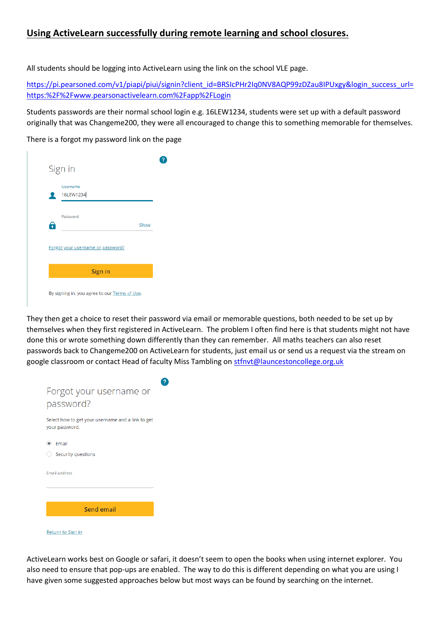## **Using ActiveLearn successfully during remote learning and school closures.**

All students should be logging into ActiveLearn using the link on the school VLE page.

[https://pi.pearsoned.com/v1/piapi/piui/signin?client\\_id=BRSIcPHr2Iq0NV8AQP99zDZau8IPUxgy&login\\_success\\_url=](https://pi.pearsoned.com/v1/piapi/piui/signin?client_id=BRSIcPHr2Iq0NV8AQP99zDZau8IPUxgy&login_success_url=https:%2F%2Fwww.pearsonactivelearn.com%2Fapp%2FLogin) [https:%2F%2Fwww.pearsonactivelearn.com%2Fapp%2FLogin](https://pi.pearsoned.com/v1/piapi/piui/signin?client_id=BRSIcPHr2Iq0NV8AQP99zDZau8IPUxgy&login_success_url=https:%2F%2Fwww.pearsonactivelearn.com%2Fapp%2FLogin)

Students passwords are their normal school login e.g. 16LEW1234, students were set up with a default password originally that was Changeme200, they were all encouraged to change this to something memorable for themselves.

There is a forgot my password link on the page

| Username<br>16LEW1234             |         |
|-----------------------------------|---------|
|                                   |         |
| Password                          | Show    |
| Forgot your username or password? |         |
|                                   | Sign in |

They then get a choice to reset their password via email or memorable questions, both needed to be set up by themselves when they first registered in ActiveLearn. The problem I often find here is that students might not have done this or wrote something down differently than they can remember. All maths teachers can also reset passwords back to Changeme200 on ActiveLearn for students, just email us or send us a request via the stream on google classroom or contact Head of faculty Miss Tambling on [stfnvt@launcestoncollege.org.uk](mailto:stfnvt@launcestoncollege.org.uk)



Return to Sign in

ActiveLearn works best on Google or safari, it doesn't seem to open the books when using internet explorer. You also need to ensure that pop-ups are enabled. The way to do this is different depending on what you are using I have given some suggested approaches below but most ways can be found by searching on the internet.